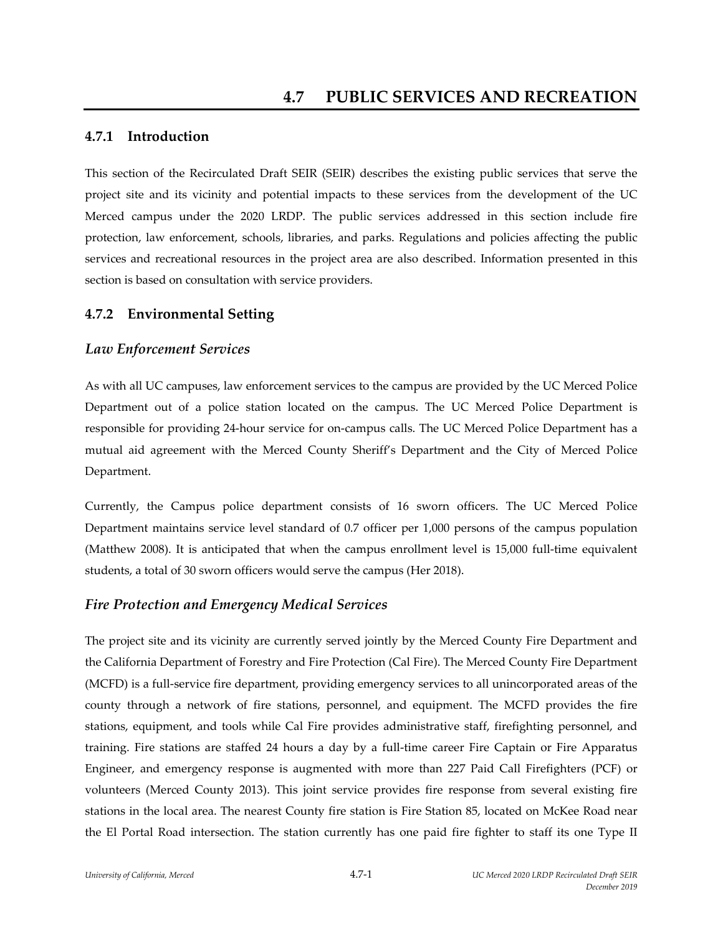## **4.7.1 Introduction**

This section of the Recirculated Draft SEIR (SEIR) describes the existing public services that serve the project site and its vicinity and potential impacts to these services from the development of the UC Merced campus under the 2020 LRDP. The public services addressed in this section include fire protection, law enforcement, schools, libraries, and parks. Regulations and policies affecting the public services and recreational resources in the project area are also described. Information presented in this section is based on consultation with service providers.

### **4.7.2 Environmental Setting**

### *Law Enforcement Services*

As with all UC campuses, law enforcement services to the campus are provided by the UC Merced Police Department out of a police station located on the campus. The UC Merced Police Department is responsible for providing 24‐hour service for on‐campus calls. The UC Merced Police Department has a mutual aid agreement with the Merced County Sheriff's Department and the City of Merced Police Department.

Currently, the Campus police department consists of 16 sworn officers. The UC Merced Police Department maintains service level standard of 0.7 officer per 1,000 persons of the campus population (Matthew 2008). It is anticipated that when the campus enrollment level is 15,000 full‐time equivalent students, a total of 30 sworn officers would serve the campus (Her 2018).

#### *Fire Protection and Emergency Medical Services*

The project site and its vicinity are currently served jointly by the Merced County Fire Department and the California Department of Forestry and Fire Protection (Cal Fire). The Merced County Fire Department (MCFD) is a full‐service fire department, providing emergency services to all unincorporated areas of the county through a network of fire stations, personnel, and equipment. The MCFD provides the fire stations, equipment, and tools while Cal Fire provides administrative staff, firefighting personnel, and training. Fire stations are staffed 24 hours a day by a full‐time career Fire Captain or Fire Apparatus Engineer, and emergency response is augmented with more than 227 Paid Call Firefighters (PCF) or volunteers (Merced County 2013). This joint service provides fire response from several existing fire stations in the local area. The nearest County fire station is Fire Station 85, located on McKee Road near the El Portal Road intersection. The station currently has one paid fire fighter to staff its one Type II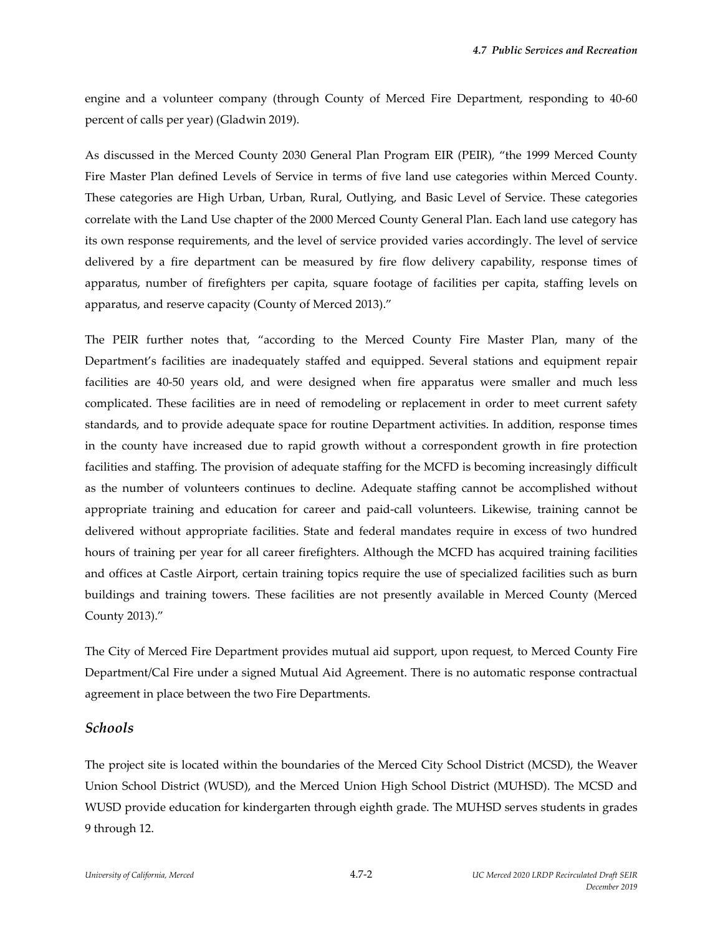engine and a volunteer company (through County of Merced Fire Department, responding to 40‐60 percent of calls per year) (Gladwin 2019).

As discussed in the Merced County 2030 General Plan Program EIR (PEIR), "the 1999 Merced County Fire Master Plan defined Levels of Service in terms of five land use categories within Merced County. These categories are High Urban, Urban, Rural, Outlying, and Basic Level of Service. These categories correlate with the Land Use chapter of the 2000 Merced County General Plan. Each land use category has its own response requirements, and the level of service provided varies accordingly. The level of service delivered by a fire department can be measured by fire flow delivery capability, response times of apparatus, number of firefighters per capita, square footage of facilities per capita, staffing levels on apparatus, and reserve capacity (County of Merced 2013)."

The PEIR further notes that, "according to the Merced County Fire Master Plan, many of the Department's facilities are inadequately staffed and equipped. Several stations and equipment repair facilities are 40-50 years old, and were designed when fire apparatus were smaller and much less complicated. These facilities are in need of remodeling or replacement in order to meet current safety standards, and to provide adequate space for routine Department activities. In addition, response times in the county have increased due to rapid growth without a correspondent growth in fire protection facilities and staffing. The provision of adequate staffing for the MCFD is becoming increasingly difficult as the number of volunteers continues to decline. Adequate staffing cannot be accomplished without appropriate training and education for career and paid‐call volunteers. Likewise, training cannot be delivered without appropriate facilities. State and federal mandates require in excess of two hundred hours of training per year for all career firefighters. Although the MCFD has acquired training facilities and offices at Castle Airport, certain training topics require the use of specialized facilities such as burn buildings and training towers. These facilities are not presently available in Merced County (Merced County 2013)."

The City of Merced Fire Department provides mutual aid support, upon request, to Merced County Fire Department/Cal Fire under a signed Mutual Aid Agreement. There is no automatic response contractual agreement in place between the two Fire Departments.

#### *Schools*

The project site is located within the boundaries of the Merced City School District (MCSD), the Weaver Union School District (WUSD), and the Merced Union High School District (MUHSD). The MCSD and WUSD provide education for kindergarten through eighth grade. The MUHSD serves students in grades 9 through 12.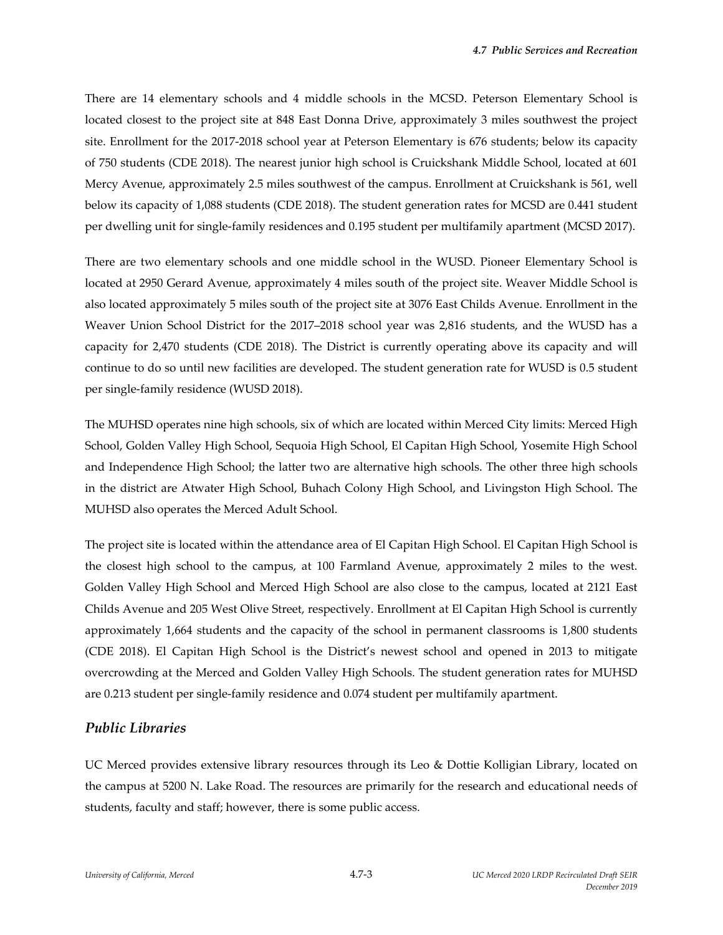There are 14 elementary schools and 4 middle schools in the MCSD. Peterson Elementary School is located closest to the project site at 848 East Donna Drive, approximately 3 miles southwest the project site. Enrollment for the 2017‐2018 school year at Peterson Elementary is 676 students; below its capacity of 750 students (CDE 2018). The nearest junior high school is Cruickshank Middle School, located at 601 Mercy Avenue, approximately 2.5 miles southwest of the campus. Enrollment at Cruickshank is 561, well below its capacity of 1,088 students (CDE 2018). The student generation rates for MCSD are 0.441 student per dwelling unit for single‐family residences and 0.195 student per multifamily apartment (MCSD 2017).

There are two elementary schools and one middle school in the WUSD. Pioneer Elementary School is located at 2950 Gerard Avenue, approximately 4 miles south of the project site. Weaver Middle School is also located approximately 5 miles south of the project site at 3076 East Childs Avenue. Enrollment in the Weaver Union School District for the 2017–2018 school year was 2,816 students, and the WUSD has a capacity for 2,470 students (CDE 2018). The District is currently operating above its capacity and will continue to do so until new facilities are developed. The student generation rate for WUSD is 0.5 student per single‐family residence (WUSD 2018).

The MUHSD operates nine high schools, six of which are located within Merced City limits: Merced High School, Golden Valley High School, Sequoia High School, El Capitan High School, Yosemite High School and Independence High School; the latter two are alternative high schools. The other three high schools in the district are Atwater High School, Buhach Colony High School, and Livingston High School. The MUHSD also operates the Merced Adult School.

The project site is located within the attendance area of El Capitan High School. El Capitan High School is the closest high school to the campus, at 100 Farmland Avenue, approximately 2 miles to the west. Golden Valley High School and Merced High School are also close to the campus, located at 2121 East Childs Avenue and 205 West Olive Street, respectively. Enrollment at El Capitan High School is currently approximately 1,664 students and the capacity of the school in permanent classrooms is 1,800 students (CDE 2018). El Capitan High School is the District's newest school and opened in 2013 to mitigate overcrowding at the Merced and Golden Valley High Schools. The student generation rates for MUHSD are 0.213 student per single‐family residence and 0.074 student per multifamily apartment.

#### *Public Libraries*

UC Merced provides extensive library resources through its Leo & Dottie Kolligian Library, located on the campus at 5200 N. Lake Road. The resources are primarily for the research and educational needs of students, faculty and staff; however, there is some public access.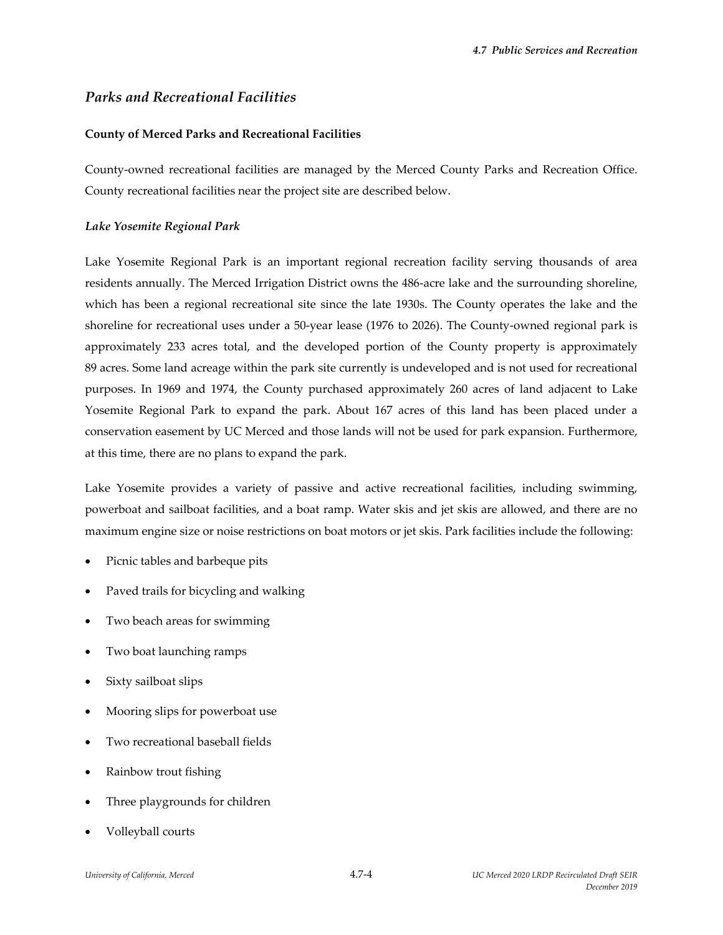## *Parks and Recreational Facilities*

#### **County of Merced Parks and Recreational Facilities**

County‐owned recreational facilities are managed by the Merced County Parks and Recreation Office. County recreational facilities near the project site are described below.

#### *Lake Yosemite Regional Park*

Lake Yosemite Regional Park is an important regional recreation facility serving thousands of area residents annually. The Merced Irrigation District owns the 486‐acre lake and the surrounding shoreline, which has been a regional recreational site since the late 1930s. The County operates the lake and the shoreline for recreational uses under a 50-year lease (1976 to 2026). The County-owned regional park is approximately 233 acres total, and the developed portion of the County property is approximately 89 acres. Some land acreage within the park site currently is undeveloped and is not used for recreational purposes. In 1969 and 1974, the County purchased approximately 260 acres of land adjacent to Lake Yosemite Regional Park to expand the park. About 167 acres of this land has been placed under a conservation easement by UC Merced and those lands will not be used for park expansion. Furthermore, at this time, there are no plans to expand the park.

Lake Yosemite provides a variety of passive and active recreational facilities, including swimming, powerboat and sailboat facilities, and a boat ramp. Water skis and jet skis are allowed, and there are no maximum engine size or noise restrictions on boat motors or jet skis. Park facilities include the following:

- Picnic tables and barbeque pits
- Paved trails for bicycling and walking
- Two beach areas for swimming
- Two boat launching ramps
- Sixty sailboat slips
- Mooring slips for powerboat use
- Two recreational baseball fields
- Rainbow trout fishing
- Three playgrounds for children
- Volleyball courts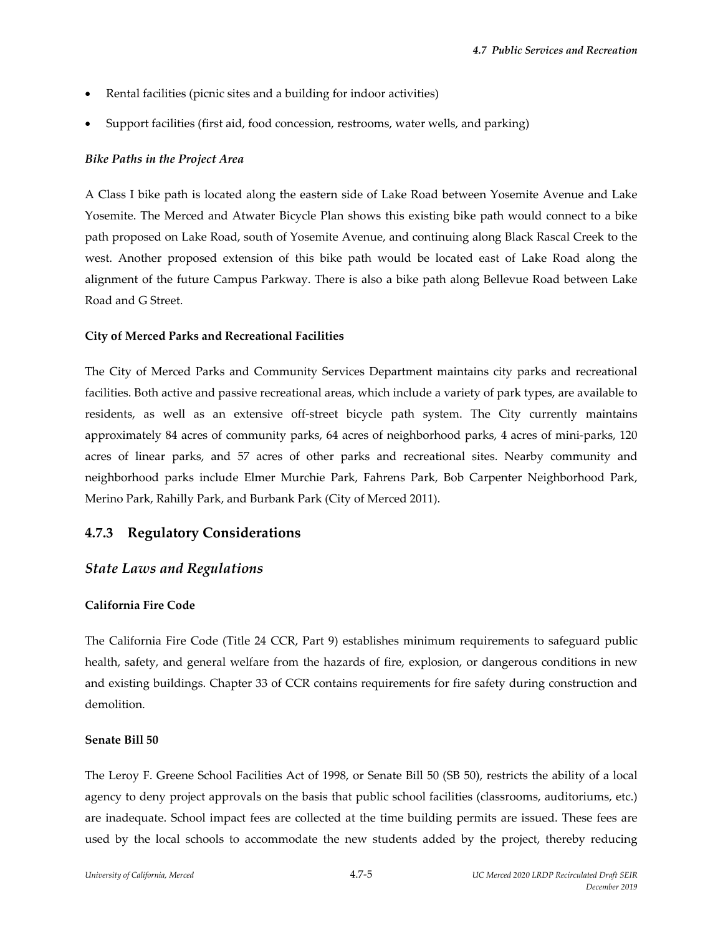- Rental facilities (picnic sites and a building for indoor activities)
- Support facilities (first aid, food concession, restrooms, water wells, and parking)

#### *Bike Paths in the Project Area*

A Class I bike path is located along the eastern side of Lake Road between Yosemite Avenue and Lake Yosemite. The Merced and Atwater Bicycle Plan shows this existing bike path would connect to a bike path proposed on Lake Road, south of Yosemite Avenue, and continuing along Black Rascal Creek to the west. Another proposed extension of this bike path would be located east of Lake Road along the alignment of the future Campus Parkway. There is also a bike path along Bellevue Road between Lake Road and G Street.

#### **City of Merced Parks and Recreational Facilities**

The City of Merced Parks and Community Services Department maintains city parks and recreational facilities. Both active and passive recreational areas, which include a variety of park types, are available to residents, as well as an extensive off-street bicycle path system. The City currently maintains approximately 84 acres of community parks, 64 acres of neighborhood parks, 4 acres of mini‐parks, 120 acres of linear parks, and 57 acres of other parks and recreational sites. Nearby community and neighborhood parks include Elmer Murchie Park, Fahrens Park, Bob Carpenter Neighborhood Park, Merino Park, Rahilly Park, and Burbank Park (City of Merced 2011).

## **4.7.3 Regulatory Considerations**

## *State Laws and Regulations*

#### **California Fire Code**

The California Fire Code (Title 24 CCR, Part 9) establishes minimum requirements to safeguard public health, safety, and general welfare from the hazards of fire, explosion, or dangerous conditions in new and existing buildings. Chapter 33 of CCR contains requirements for fire safety during construction and demolition.

#### **Senate Bill 50**

The Leroy F. Greene School Facilities Act of 1998, or Senate Bill 50 (SB 50), restricts the ability of a local agency to deny project approvals on the basis that public school facilities (classrooms, auditoriums, etc.) are inadequate. School impact fees are collected at the time building permits are issued. These fees are used by the local schools to accommodate the new students added by the project, thereby reducing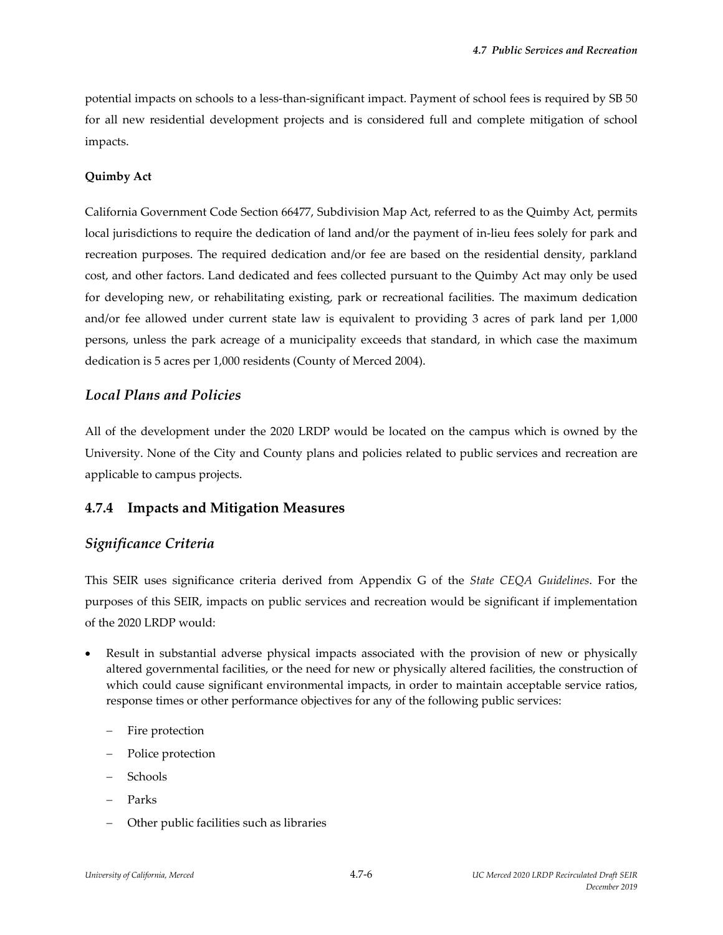potential impacts on schools to a less‐than‐significant impact. Payment of school fees is required by SB 50 for all new residential development projects and is considered full and complete mitigation of school impacts.

#### **Quimby Act**

California Government Code Section 66477, Subdivision Map Act, referred to as the Quimby Act, permits local jurisdictions to require the dedication of land and/or the payment of in‐lieu fees solely for park and recreation purposes. The required dedication and/or fee are based on the residential density, parkland cost, and other factors. Land dedicated and fees collected pursuant to the Quimby Act may only be used for developing new, or rehabilitating existing, park or recreational facilities. The maximum dedication and/or fee allowed under current state law is equivalent to providing 3 acres of park land per 1,000 persons, unless the park acreage of a municipality exceeds that standard, in which case the maximum dedication is 5 acres per 1,000 residents (County of Merced 2004).

## *Local Plans and Policies*

All of the development under the 2020 LRDP would be located on the campus which is owned by the University. None of the City and County plans and policies related to public services and recreation are applicable to campus projects.

#### **4.7.4 Impacts and Mitigation Measures**

## *Significance Criteria*

This SEIR uses significance criteria derived from Appendix G of the *State CEQA Guidelines*. For the purposes of this SEIR, impacts on public services and recreation would be significant if implementation of the 2020 LRDP would:

- Result in substantial adverse physical impacts associated with the provision of new or physically altered governmental facilities, or the need for new or physically altered facilities, the construction of which could cause significant environmental impacts, in order to maintain acceptable service ratios, response times or other performance objectives for any of the following public services:
	- Fire protection
	- Police protection
	- Schools
	- Parks
	- Other public facilities such as libraries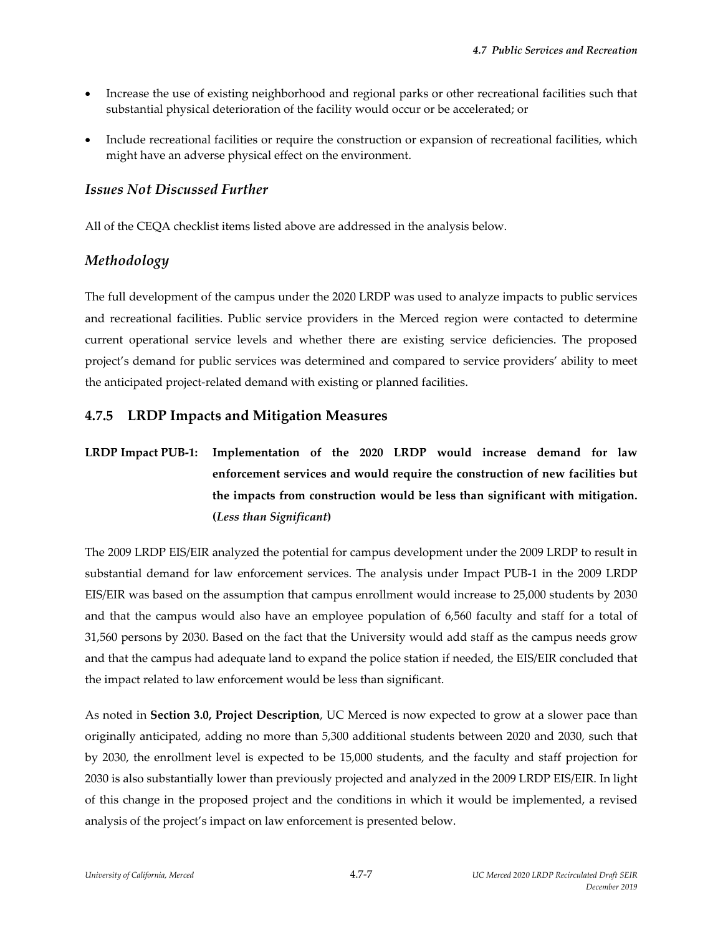- Increase the use of existing neighborhood and regional parks or other recreational facilities such that substantial physical deterioration of the facility would occur or be accelerated; or
- Include recreational facilities or require the construction or expansion of recreational facilities, which might have an adverse physical effect on the environment.

### *Issues Not Discussed Further*

All of the CEQA checklist items listed above are addressed in the analysis below.

## *Methodology*

The full development of the campus under the 2020 LRDP was used to analyze impacts to public services and recreational facilities. Public service providers in the Merced region were contacted to determine current operational service levels and whether there are existing service deficiencies. The proposed project's demand for public services was determined and compared to service providers' ability to meet the anticipated project‐related demand with existing or planned facilities.

## **4.7.5 LRDP Impacts and Mitigation Measures**

# **LRDP Impact PUB‐1: Implementation of the 2020 LRDP would increase demand for law enforcement services and would require the construction of new facilities but the impacts from construction would be less than significant with mitigation. (***Less than Significant***)**

The 2009 LRDP EIS/EIR analyzed the potential for campus development under the 2009 LRDP to result in substantial demand for law enforcement services. The analysis under Impact PUB-1 in the 2009 LRDP EIS/EIR was based on the assumption that campus enrollment would increase to 25,000 students by 2030 and that the campus would also have an employee population of 6,560 faculty and staff for a total of 31,560 persons by 2030. Based on the fact that the University would add staff as the campus needs grow and that the campus had adequate land to expand the police station if needed, the EIS/EIR concluded that the impact related to law enforcement would be less than significant.

As noted in **Section 3.0, Project Description**, UC Merced is now expected to grow at a slower pace than originally anticipated, adding no more than 5,300 additional students between 2020 and 2030, such that by 2030, the enrollment level is expected to be 15,000 students, and the faculty and staff projection for 2030 is also substantially lower than previously projected and analyzed in the 2009 LRDP EIS/EIR. In light of this change in the proposed project and the conditions in which it would be implemented, a revised analysis of the project's impact on law enforcement is presented below.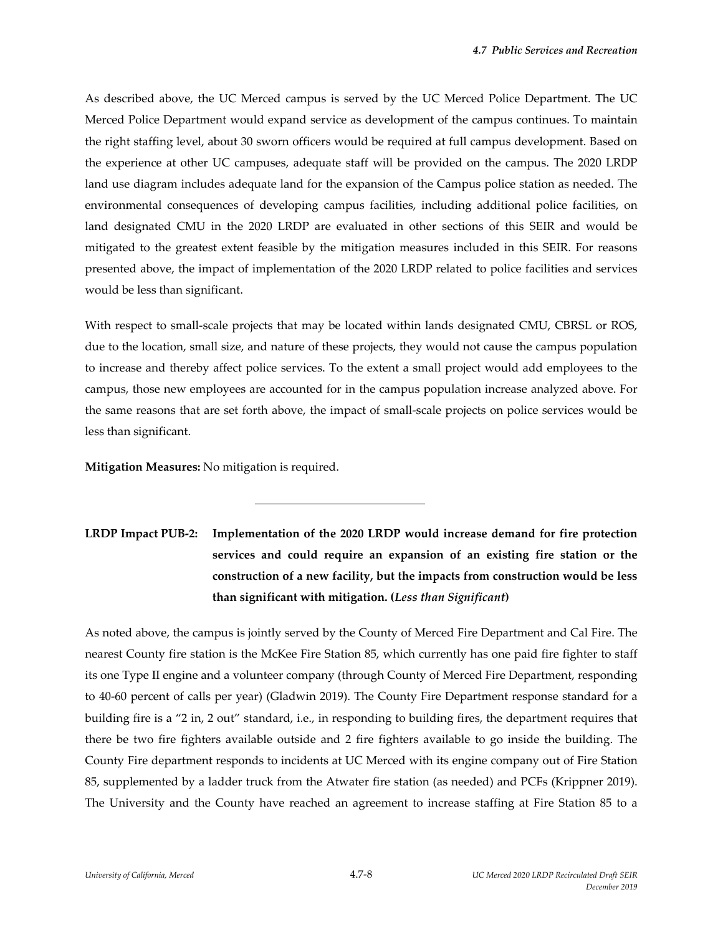As described above, the UC Merced campus is served by the UC Merced Police Department. The UC Merced Police Department would expand service as development of the campus continues. To maintain the right staffing level, about 30 sworn officers would be required at full campus development. Based on the experience at other UC campuses, adequate staff will be provided on the campus. The 2020 LRDP land use diagram includes adequate land for the expansion of the Campus police station as needed. The environmental consequences of developing campus facilities, including additional police facilities, on land designated CMU in the 2020 LRDP are evaluated in other sections of this SEIR and would be mitigated to the greatest extent feasible by the mitigation measures included in this SEIR. For reasons presented above, the impact of implementation of the 2020 LRDP related to police facilities and services would be less than significant.

With respect to small-scale projects that may be located within lands designated CMU, CBRSL or ROS, due to the location, small size, and nature of these projects, they would not cause the campus population to increase and thereby affect police services. To the extent a small project would add employees to the campus, those new employees are accounted for in the campus population increase analyzed above. For the same reasons that are set forth above, the impact of small‐scale projects on police services would be less than significant.

**Mitigation Measures:** No mitigation is required.

l

# **LRDP Impact PUB‐2: Implementation of the 2020 LRDP would increase demand for fire protection services and could require an expansion of an existing fire station or the construction of a new facility, but the impacts from construction would be less than significant with mitigation. (***Less than Significant***)**

As noted above, the campus is jointly served by the County of Merced Fire Department and Cal Fire. The nearest County fire station is the McKee Fire Station 85, which currently has one paid fire fighter to staff its one Type II engine and a volunteer company (through County of Merced Fire Department, responding to 40‐60 percent of calls per year) (Gladwin 2019). The County Fire Department response standard for a building fire is a "2 in, 2 out" standard, i.e., in responding to building fires, the department requires that there be two fire fighters available outside and 2 fire fighters available to go inside the building. The County Fire department responds to incidents at UC Merced with its engine company out of Fire Station 85, supplemented by a ladder truck from the Atwater fire station (as needed) and PCFs (Krippner 2019). The University and the County have reached an agreement to increase staffing at Fire Station 85 to a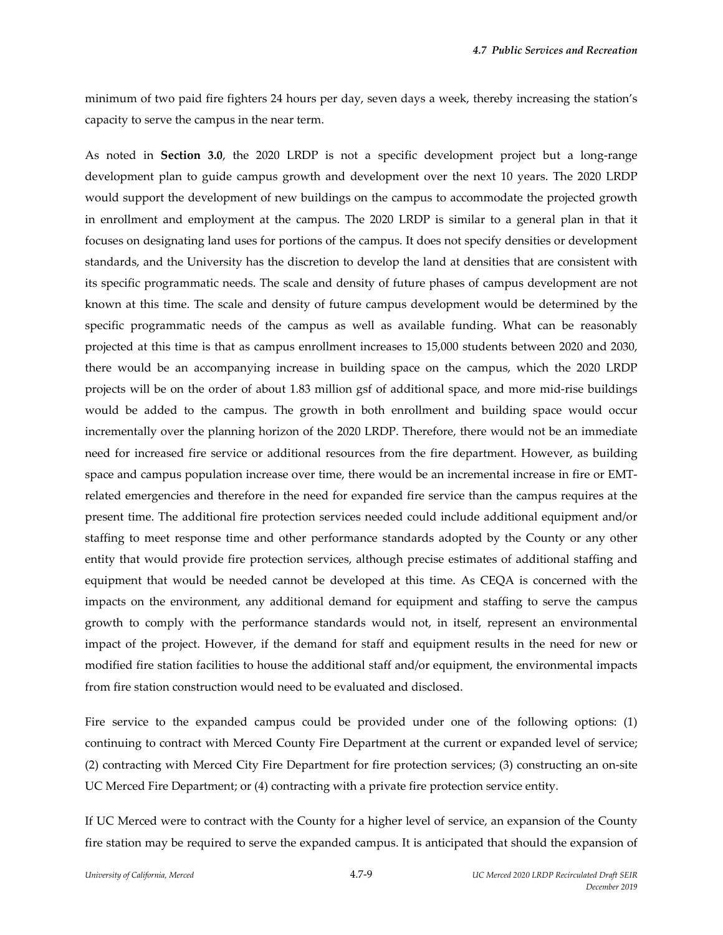minimum of two paid fire fighters 24 hours per day, seven days a week, thereby increasing the station's capacity to serve the campus in the near term.

As noted in **Section 3.0**, the 2020 LRDP is not a specific development project but a long-range development plan to guide campus growth and development over the next 10 years. The 2020 LRDP would support the development of new buildings on the campus to accommodate the projected growth in enrollment and employment at the campus. The 2020 LRDP is similar to a general plan in that it focuses on designating land uses for portions of the campus. It does not specify densities or development standards, and the University has the discretion to develop the land at densities that are consistent with its specific programmatic needs. The scale and density of future phases of campus development are not known at this time. The scale and density of future campus development would be determined by the specific programmatic needs of the campus as well as available funding. What can be reasonably projected at this time is that as campus enrollment increases to 15,000 students between 2020 and 2030, there would be an accompanying increase in building space on the campus, which the 2020 LRDP projects will be on the order of about 1.83 million gsf of additional space, and more mid‐rise buildings would be added to the campus. The growth in both enrollment and building space would occur incrementally over the planning horizon of the 2020 LRDP. Therefore, there would not be an immediate need for increased fire service or additional resources from the fire department. However, as building space and campus population increase over time, there would be an incremental increase in fire or EMTrelated emergencies and therefore in the need for expanded fire service than the campus requires at the present time. The additional fire protection services needed could include additional equipment and/or staffing to meet response time and other performance standards adopted by the County or any other entity that would provide fire protection services, although precise estimates of additional staffing and equipment that would be needed cannot be developed at this time. As CEQA is concerned with the impacts on the environment, any additional demand for equipment and staffing to serve the campus growth to comply with the performance standards would not, in itself, represent an environmental impact of the project. However, if the demand for staff and equipment results in the need for new or modified fire station facilities to house the additional staff and/or equipment, the environmental impacts from fire station construction would need to be evaluated and disclosed.

Fire service to the expanded campus could be provided under one of the following options: (1) continuing to contract with Merced County Fire Department at the current or expanded level of service; (2) contracting with Merced City Fire Department for fire protection services; (3) constructing an on‐site UC Merced Fire Department; or (4) contracting with a private fire protection service entity.

If UC Merced were to contract with the County for a higher level of service, an expansion of the County fire station may be required to serve the expanded campus. It is anticipated that should the expansion of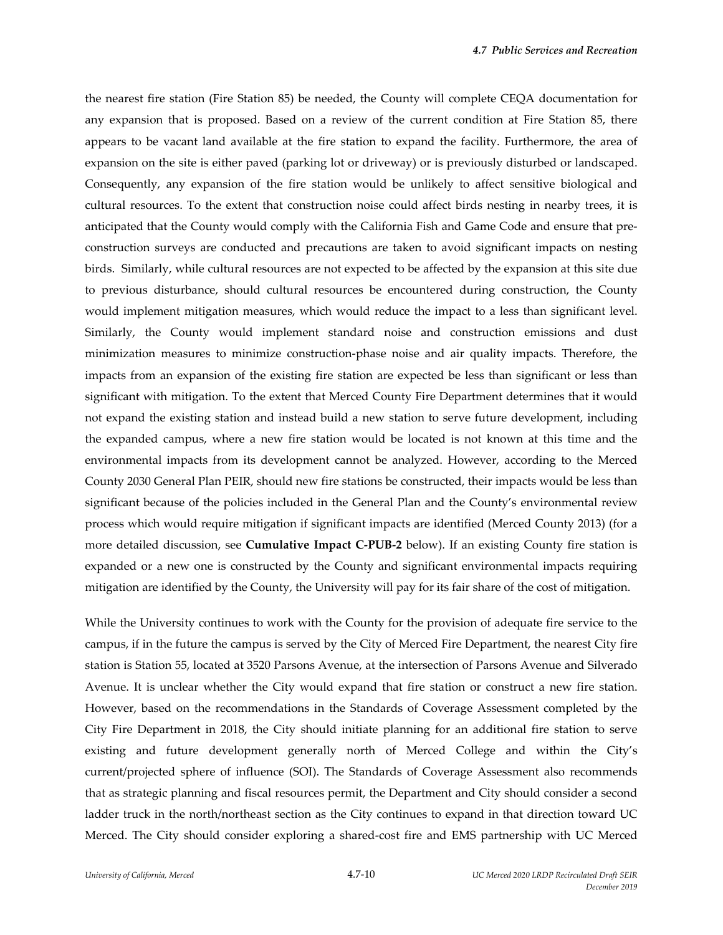the nearest fire station (Fire Station 85) be needed, the County will complete CEQA documentation for any expansion that is proposed. Based on a review of the current condition at Fire Station 85, there appears to be vacant land available at the fire station to expand the facility. Furthermore, the area of expansion on the site is either paved (parking lot or driveway) or is previously disturbed or landscaped. Consequently, any expansion of the fire station would be unlikely to affect sensitive biological and cultural resources. To the extent that construction noise could affect birds nesting in nearby trees, it is anticipated that the County would comply with the California Fish and Game Code and ensure that pre‐ construction surveys are conducted and precautions are taken to avoid significant impacts on nesting birds. Similarly, while cultural resources are not expected to be affected by the expansion at this site due to previous disturbance, should cultural resources be encountered during construction, the County would implement mitigation measures, which would reduce the impact to a less than significant level. Similarly, the County would implement standard noise and construction emissions and dust minimization measures to minimize construction‐phase noise and air quality impacts. Therefore, the impacts from an expansion of the existing fire station are expected be less than significant or less than significant with mitigation. To the extent that Merced County Fire Department determines that it would not expand the existing station and instead build a new station to serve future development, including the expanded campus, where a new fire station would be located is not known at this time and the environmental impacts from its development cannot be analyzed. However, according to the Merced County 2030 General Plan PEIR, should new fire stations be constructed, their impacts would be less than significant because of the policies included in the General Plan and the County's environmental review process which would require mitigation if significant impacts are identified (Merced County 2013) (for a more detailed discussion, see **Cumulative Impact C‐PUB‐2** below). If an existing County fire station is expanded or a new one is constructed by the County and significant environmental impacts requiring mitigation are identified by the County, the University will pay for its fair share of the cost of mitigation.

While the University continues to work with the County for the provision of adequate fire service to the campus, if in the future the campus is served by the City of Merced Fire Department, the nearest City fire station is Station 55, located at 3520 Parsons Avenue, at the intersection of Parsons Avenue and Silverado Avenue. It is unclear whether the City would expand that fire station or construct a new fire station. However, based on the recommendations in the Standards of Coverage Assessment completed by the City Fire Department in 2018, the City should initiate planning for an additional fire station to serve existing and future development generally north of Merced College and within the City's current/projected sphere of influence (SOI). The Standards of Coverage Assessment also recommends that as strategic planning and fiscal resources permit, the Department and City should consider a second ladder truck in the north/northeast section as the City continues to expand in that direction toward UC Merced. The City should consider exploring a shared‐cost fire and EMS partnership with UC Merced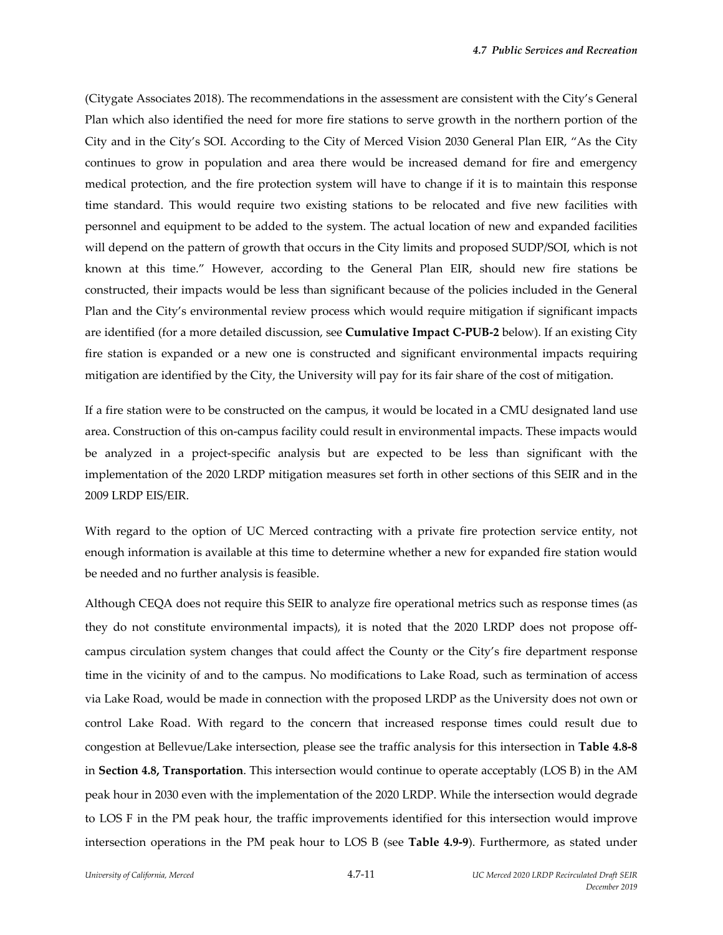(Citygate Associates 2018). The recommendations in the assessment are consistent with the City's General Plan which also identified the need for more fire stations to serve growth in the northern portion of the City and in the City's SOI. According to the City of Merced Vision 2030 General Plan EIR, "As the City continues to grow in population and area there would be increased demand for fire and emergency medical protection, and the fire protection system will have to change if it is to maintain this response time standard. This would require two existing stations to be relocated and five new facilities with personnel and equipment to be added to the system. The actual location of new and expanded facilities will depend on the pattern of growth that occurs in the City limits and proposed SUDP/SOI, which is not known at this time." However, according to the General Plan EIR, should new fire stations be constructed, their impacts would be less than significant because of the policies included in the General Plan and the City's environmental review process which would require mitigation if significant impacts are identified (for a more detailed discussion, see **Cumulative Impact C‐PUB‐2** below). If an existing City fire station is expanded or a new one is constructed and significant environmental impacts requiring mitigation are identified by the City, the University will pay for its fair share of the cost of mitigation.

If a fire station were to be constructed on the campus, it would be located in a CMU designated land use area. Construction of this on‐campus facility could result in environmental impacts. These impacts would be analyzed in a project-specific analysis but are expected to be less than significant with the implementation of the 2020 LRDP mitigation measures set forth in other sections of this SEIR and in the 2009 LRDP EIS/EIR.

With regard to the option of UC Merced contracting with a private fire protection service entity, not enough information is available at this time to determine whether a new for expanded fire station would be needed and no further analysis is feasible.

Although CEQA does not require this SEIR to analyze fire operational metrics such as response times (as they do not constitute environmental impacts), it is noted that the 2020 LRDP does not propose off‐ campus circulation system changes that could affect the County or the City's fire department response time in the vicinity of and to the campus. No modifications to Lake Road, such as termination of access via Lake Road, would be made in connection with the proposed LRDP as the University does not own or control Lake Road. With regard to the concern that increased response times could result due to congestion at Bellevue/Lake intersection, please see the traffic analysis for this intersection in **Table 4.8‐8** in **Section 4.8, Transportation**. This intersection would continue to operate acceptably (LOS B) in the AM peak hour in 2030 even with the implementation of the 2020 LRDP. While the intersection would degrade to LOS F in the PM peak hour, the traffic improvements identified for this intersection would improve intersection operations in the PM peak hour to LOS B (see Table 4.9-9). Furthermore, as stated under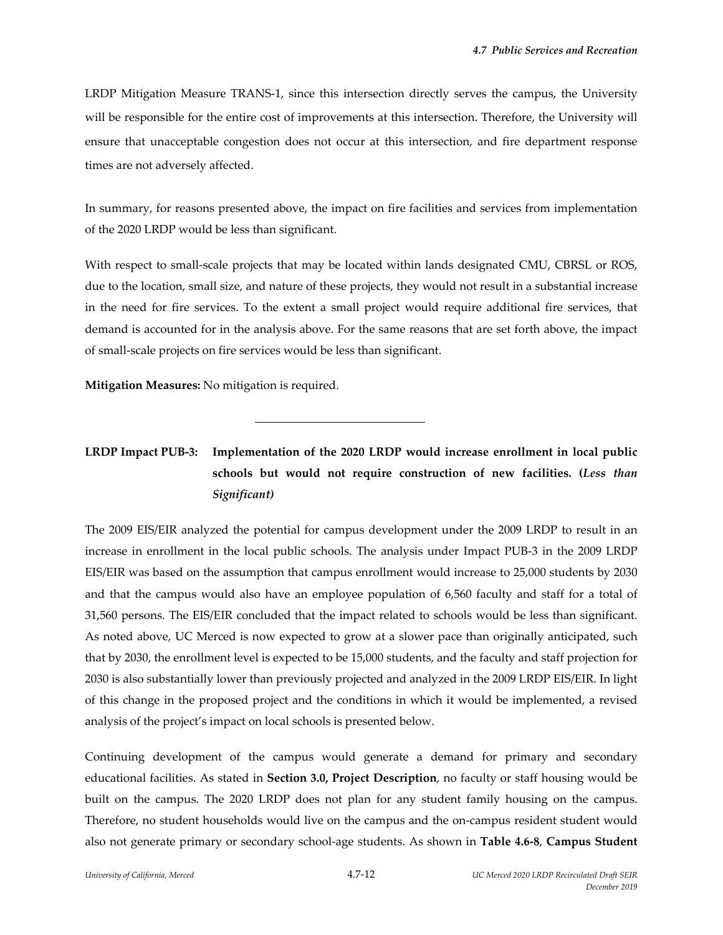LRDP Mitigation Measure TRANS‐1, since this intersection directly serves the campus, the University will be responsible for the entire cost of improvements at this intersection. Therefore, the University will ensure that unacceptable congestion does not occur at this intersection, and fire department response times are not adversely affected.

In summary, for reasons presented above, the impact on fire facilities and services from implementation of the 2020 LRDP would be less than significant.

With respect to small-scale projects that may be located within lands designated CMU, CBRSL or ROS, due to the location, small size, and nature of these projects, they would not result in a substantial increase in the need for fire services. To the extent a small project would require additional fire services, that demand is accounted for in the analysis above. For the same reasons that are set forth above, the impact of small‐scale projects on fire services would be less than significant.

**Mitigation Measures:** No mitigation is required.

l

## **LRDP Impact PUB‐3: Implementation of the 2020 LRDP would increase enrollment in local public schools but would not require construction of new facilities. (***Less than Significant)*

The 2009 EIS/EIR analyzed the potential for campus development under the 2009 LRDP to result in an increase in enrollment in the local public schools. The analysis under Impact PUB‐3 in the 2009 LRDP EIS/EIR was based on the assumption that campus enrollment would increase to 25,000 students by 2030 and that the campus would also have an employee population of 6,560 faculty and staff for a total of 31,560 persons. The EIS/EIR concluded that the impact related to schools would be less than significant. As noted above, UC Merced is now expected to grow at a slower pace than originally anticipated, such that by 2030, the enrollment level is expected to be 15,000 students, and the faculty and staff projection for 2030 is also substantially lower than previously projected and analyzed in the 2009 LRDP EIS/EIR. In light of this change in the proposed project and the conditions in which it would be implemented, a revised analysis of the project's impact on local schools is presented below.

Continuing development of the campus would generate a demand for primary and secondary educational facilities. As stated in **Section 3.0, Project Description**, no faculty or staff housing would be built on the campus. The 2020 LRDP does not plan for any student family housing on the campus. Therefore, no student households would live on the campus and the on-campus resident student would also not generate primary or secondary school‐age students. As shown in **Table 4.6‐8**, **Campus Student**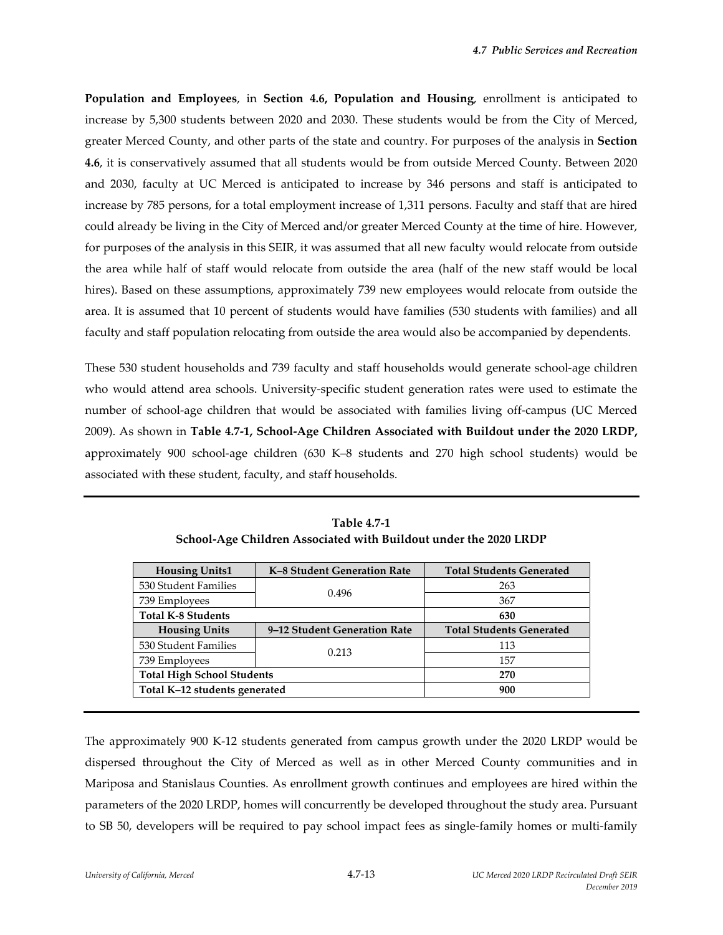**Population and Employees**, in **Section 4.6, Population and Housing**, enrollment is anticipated to increase by 5,300 students between 2020 and 2030. These students would be from the City of Merced, greater Merced County, and other parts of the state and country. For purposes of the analysis in **Section 4.6**, it is conservatively assumed that all students would be from outside Merced County. Between 2020 and 2030, faculty at UC Merced is anticipated to increase by 346 persons and staff is anticipated to increase by 785 persons, for a total employment increase of 1,311 persons. Faculty and staff that are hired could already be living in the City of Merced and/or greater Merced County at the time of hire. However, for purposes of the analysis in this SEIR, it was assumed that all new faculty would relocate from outside the area while half of staff would relocate from outside the area (half of the new staff would be local hires). Based on these assumptions, approximately 739 new employees would relocate from outside the area. It is assumed that 10 percent of students would have families (530 students with families) and all faculty and staff population relocating from outside the area would also be accompanied by dependents.

These 530 student households and 739 faculty and staff households would generate school‐age children who would attend area schools. University-specific student generation rates were used to estimate the number of school‐age children that would be associated with families living off‐campus (UC Merced 2009). As shown in **Table 4.7‐1, School‐Age Children Associated with Buildout under the 2020 LRDP,** approximately 900 school‐age children (630 K–8 students and 270 high school students) would be associated with these student, faculty, and staff households.

| <b>Housing Units1</b>             | K-8 Student Generation Rate  | <b>Total Students Generated</b> |
|-----------------------------------|------------------------------|---------------------------------|
| 530 Student Families              | 0.496                        | 263                             |
| 739 Employees                     |                              | 367                             |
| <b>Total K-8 Students</b>         |                              | 630                             |
| <b>Housing Units</b>              | 9–12 Student Generation Rate | <b>Total Students Generated</b> |
| 530 Student Families              | 0.213                        | 113                             |
| 739 Employees                     |                              | 157                             |
| <b>Total High School Students</b> |                              | 270                             |
| Total K-12 students generated     |                              | 900                             |

**Table 4.7‐1 School‐Age Children Associated with Buildout under the 2020 LRDP**

The approximately 900 K-12 students generated from campus growth under the 2020 LRDP would be dispersed throughout the City of Merced as well as in other Merced County communities and in Mariposa and Stanislaus Counties. As enrollment growth continues and employees are hired within the parameters of the 2020 LRDP, homes will concurrently be developed throughout the study area. Pursuant to SB 50, developers will be required to pay school impact fees as single-family homes or multi-family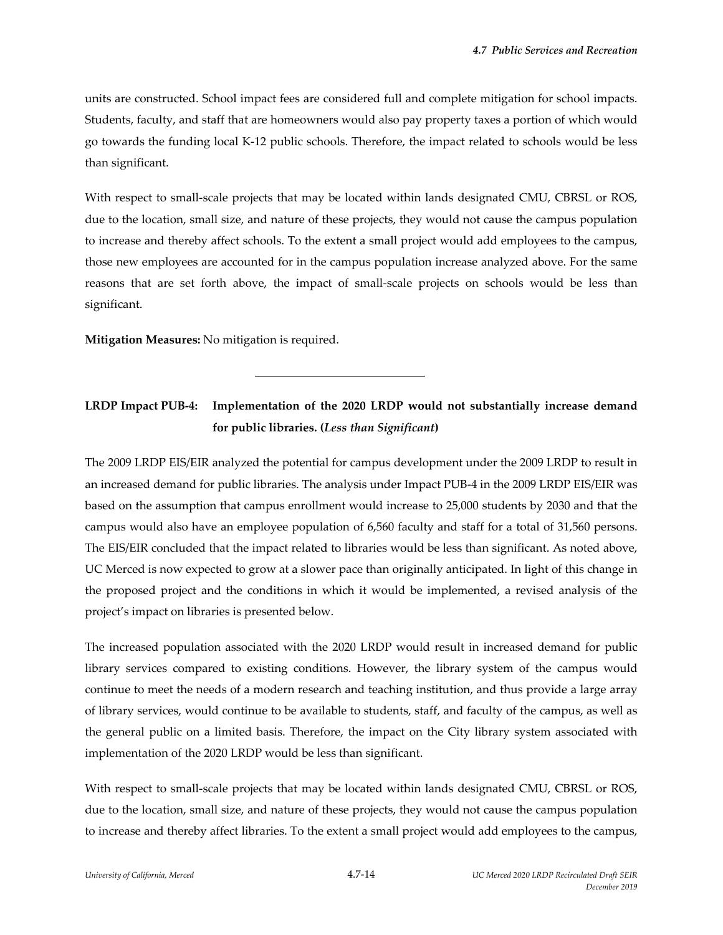units are constructed. School impact fees are considered full and complete mitigation for school impacts. Students, faculty, and staff that are homeowners would also pay property taxes a portion of which would go towards the funding local K‐12 public schools. Therefore, the impact related to schools would be less than significant.

With respect to small-scale projects that may be located within lands designated CMU, CBRSL or ROS, due to the location, small size, and nature of these projects, they would not cause the campus population to increase and thereby affect schools. To the extent a small project would add employees to the campus, those new employees are accounted for in the campus population increase analyzed above. For the same reasons that are set forth above, the impact of small‐scale projects on schools would be less than significant.

**Mitigation Measures:** No mitigation is required.

l

## **LRDP Impact PUB‐4: Implementation of the 2020 LRDP would not substantially increase demand for public libraries. (***Less than Significant***)**

The 2009 LRDP EIS/EIR analyzed the potential for campus development under the 2009 LRDP to result in an increased demand for public libraries. The analysis under Impact PUB-4 in the 2009 LRDP EIS/EIR was based on the assumption that campus enrollment would increase to 25,000 students by 2030 and that the campus would also have an employee population of 6,560 faculty and staff for a total of 31,560 persons. The EIS/EIR concluded that the impact related to libraries would be less than significant. As noted above, UC Merced is now expected to grow at a slower pace than originally anticipated. In light of this change in the proposed project and the conditions in which it would be implemented, a revised analysis of the project's impact on libraries is presented below.

The increased population associated with the 2020 LRDP would result in increased demand for public library services compared to existing conditions. However, the library system of the campus would continue to meet the needs of a modern research and teaching institution, and thus provide a large array of library services, would continue to be available to students, staff, and faculty of the campus, as well as the general public on a limited basis. Therefore, the impact on the City library system associated with implementation of the 2020 LRDP would be less than significant.

With respect to small-scale projects that may be located within lands designated CMU, CBRSL or ROS, due to the location, small size, and nature of these projects, they would not cause the campus population to increase and thereby affect libraries. To the extent a small project would add employees to the campus,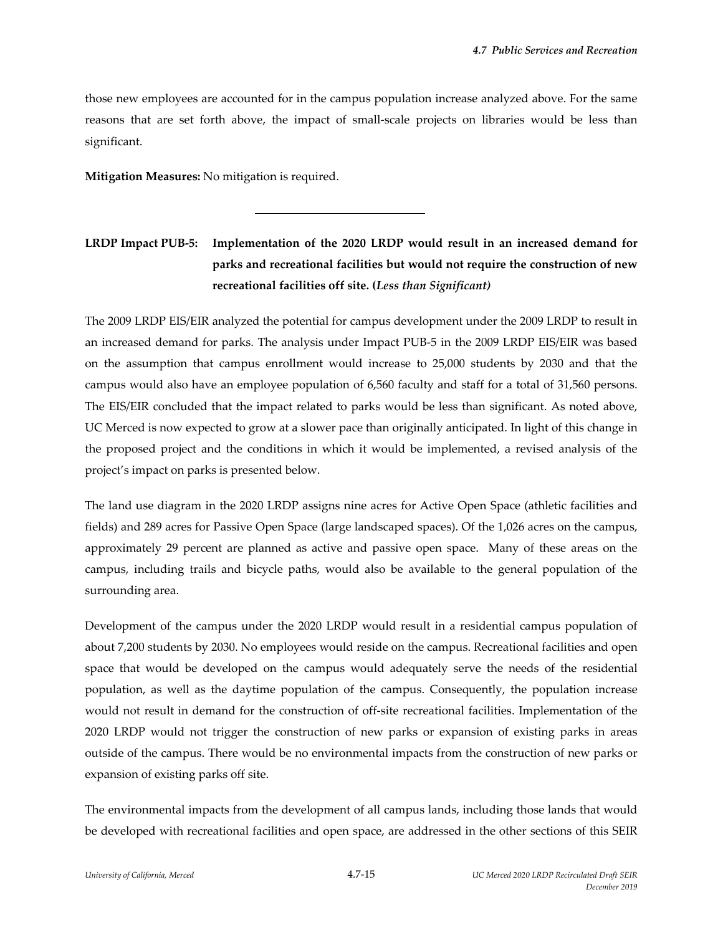those new employees are accounted for in the campus population increase analyzed above. For the same reasons that are set forth above, the impact of small‐scale projects on libraries would be less than significant.

**Mitigation Measures:** No mitigation is required.

l

## **LRDP Impact PUB‐5: Implementation of the 2020 LRDP would result in an increased demand for parks and recreational facilities but would not require the construction of new recreational facilities off site. (***Less than Significant)*

The 2009 LRDP EIS/EIR analyzed the potential for campus development under the 2009 LRDP to result in an increased demand for parks. The analysis under Impact PUB‐5 in the 2009 LRDP EIS/EIR was based on the assumption that campus enrollment would increase to 25,000 students by 2030 and that the campus would also have an employee population of 6,560 faculty and staff for a total of 31,560 persons. The EIS/EIR concluded that the impact related to parks would be less than significant. As noted above, UC Merced is now expected to grow at a slower pace than originally anticipated. In light of this change in the proposed project and the conditions in which it would be implemented, a revised analysis of the project's impact on parks is presented below.

The land use diagram in the 2020 LRDP assigns nine acres for Active Open Space (athletic facilities and fields) and 289 acres for Passive Open Space (large landscaped spaces). Of the 1,026 acres on the campus, approximately 29 percent are planned as active and passive open space. Many of these areas on the campus, including trails and bicycle paths, would also be available to the general population of the surrounding area.

Development of the campus under the 2020 LRDP would result in a residential campus population of about 7,200 students by 2030. No employees would reside on the campus. Recreational facilities and open space that would be developed on the campus would adequately serve the needs of the residential population, as well as the daytime population of the campus. Consequently, the population increase would not result in demand for the construction of off-site recreational facilities. Implementation of the 2020 LRDP would not trigger the construction of new parks or expansion of existing parks in areas outside of the campus. There would be no environmental impacts from the construction of new parks or expansion of existing parks off site.

The environmental impacts from the development of all campus lands, including those lands that would be developed with recreational facilities and open space, are addressed in the other sections of this SEIR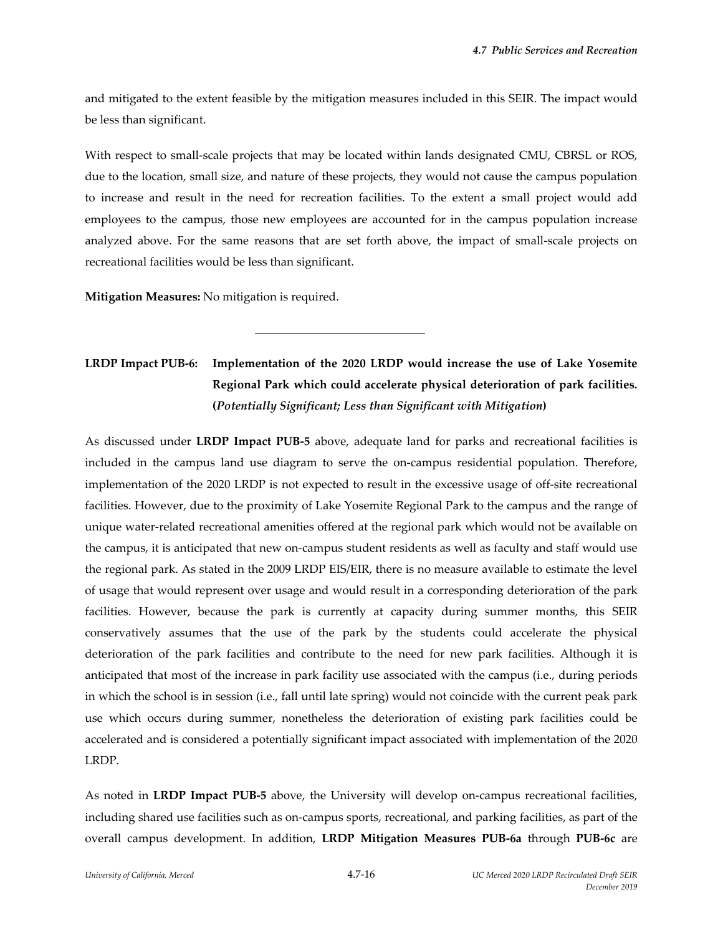and mitigated to the extent feasible by the mitigation measures included in this SEIR. The impact would be less than significant.

With respect to small-scale projects that may be located within lands designated CMU, CBRSL or ROS, due to the location, small size, and nature of these projects, they would not cause the campus population to increase and result in the need for recreation facilities. To the extent a small project would add employees to the campus, those new employees are accounted for in the campus population increase analyzed above. For the same reasons that are set forth above, the impact of small-scale projects on recreational facilities would be less than significant.

**Mitigation Measures:** No mitigation is required.

l

## **LRDP Impact PUB‐6: Implementation of the 2020 LRDP would increase the use of Lake Yosemite Regional Park which could accelerate physical deterioration of park facilities. (***Potentially Significant; Less than Significant with Mitigation***)**

As discussed under **LRDP Impact PUB‐5** above, adequate land for parks and recreational facilities is included in the campus land use diagram to serve the on-campus residential population. Therefore, implementation of the 2020 LRDP is not expected to result in the excessive usage of off‐site recreational facilities. However, due to the proximity of Lake Yosemite Regional Park to the campus and the range of unique water‐related recreational amenities offered at the regional park which would not be available on the campus, it is anticipated that new on‐campus student residents as well as faculty and staff would use the regional park. As stated in the 2009 LRDP EIS/EIR, there is no measure available to estimate the level of usage that would represent over usage and would result in a corresponding deterioration of the park facilities. However, because the park is currently at capacity during summer months, this SEIR conservatively assumes that the use of the park by the students could accelerate the physical deterioration of the park facilities and contribute to the need for new park facilities. Although it is anticipated that most of the increase in park facility use associated with the campus (i.e., during periods in which the school is in session (i.e., fall until late spring) would not coincide with the current peak park use which occurs during summer, nonetheless the deterioration of existing park facilities could be accelerated and is considered a potentially significant impact associated with implementation of the 2020 LRDP.

As noted in **LRDP Impact PUB‐5** above, the University will develop on‐campus recreational facilities, including shared use facilities such as on‐campus sports, recreational, and parking facilities, as part of the overall campus development. In addition, **LRDP Mitigation Measures PUB‐6a** through **PUB‐6c** are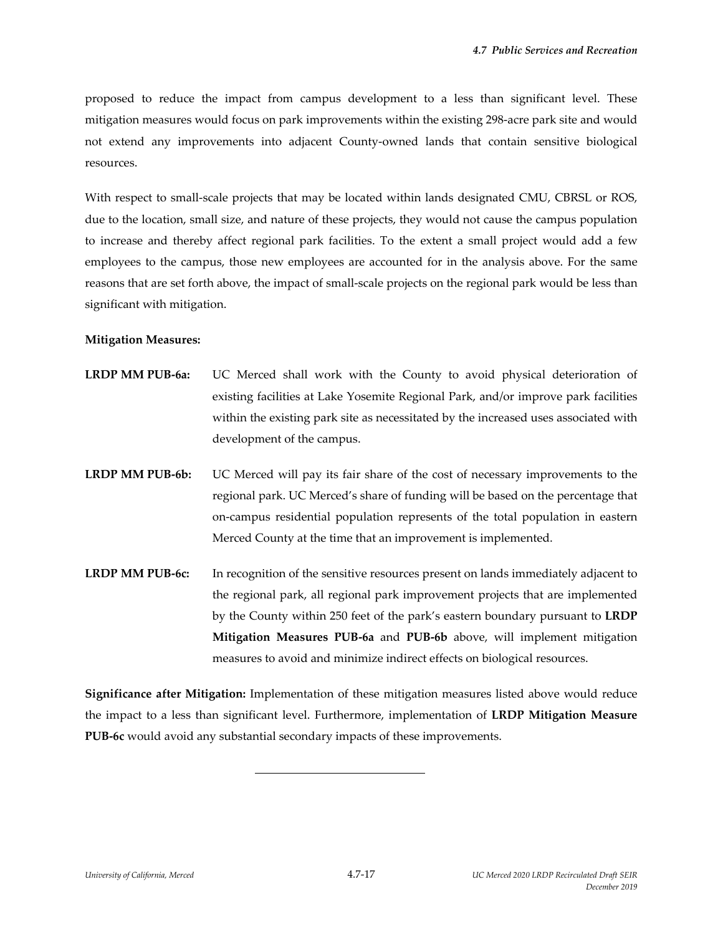proposed to reduce the impact from campus development to a less than significant level. These mitigation measures would focus on park improvements within the existing 298‐acre park site and would not extend any improvements into adjacent County‐owned lands that contain sensitive biological resources.

With respect to small-scale projects that may be located within lands designated CMU, CBRSL or ROS, due to the location, small size, and nature of these projects, they would not cause the campus population to increase and thereby affect regional park facilities. To the extent a small project would add a few employees to the campus, those new employees are accounted for in the analysis above. For the same reasons that are set forth above, the impact of small‐scale projects on the regional park would be less than significant with mitigation.

#### **Mitigation Measures:**

- **LRDP MM PUB‐6a:** UC Merced shall work with the County to avoid physical deterioration of existing facilities at Lake Yosemite Regional Park, and/or improve park facilities within the existing park site as necessitated by the increased uses associated with development of the campus.
- **LRDP MM PUB‐6b:** UC Merced will pay its fair share of the cost of necessary improvements to the regional park. UC Merced's share of funding will be based on the percentage that on‐campus residential population represents of the total population in eastern Merced County at the time that an improvement is implemented.
- **LRDP MM PUB‐6c:** In recognition of the sensitive resources present on lands immediately adjacent to the regional park, all regional park improvement projects that are implemented by the County within 250 feet of the park's eastern boundary pursuant to **LRDP Mitigation Measures PUB‐6a** and **PUB‐6b** above, will implement mitigation measures to avoid and minimize indirect effects on biological resources.

**Significance after Mitigation:** Implementation of these mitigation measures listed above would reduce the impact to a less than significant level. Furthermore, implementation of **LRDP Mitigation Measure PUB‐6c** would avoid any substantial secondary impacts of these improvements.

l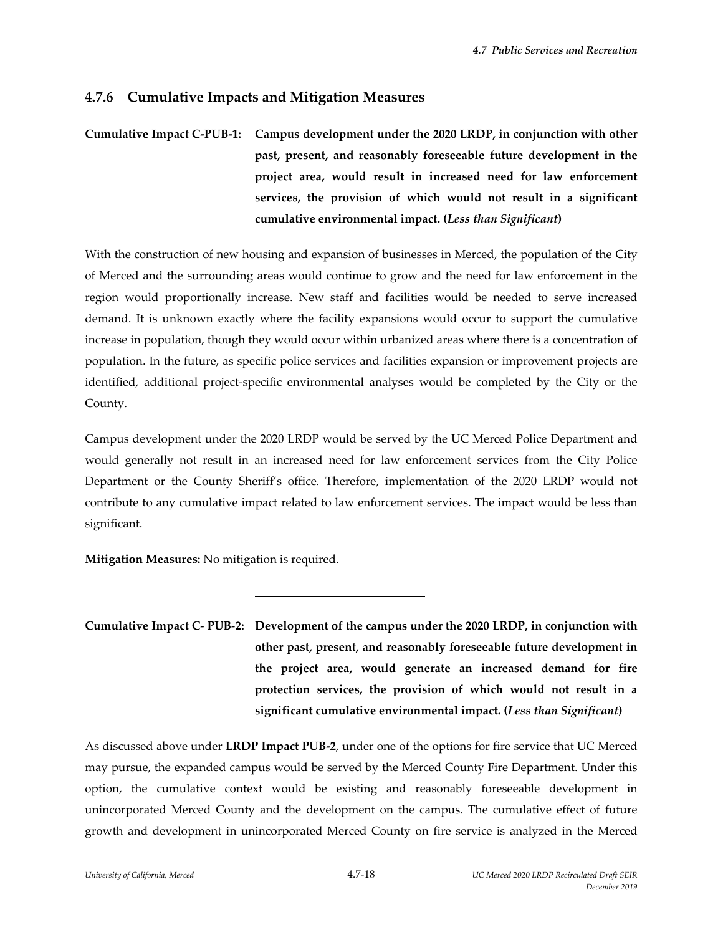## **4.7.6 Cumulative Impacts and Mitigation Measures**

# **Cumulative Impact C‐PUB‐1: Campus development under the 2020 LRDP, in conjunction with other past, present, and reasonably foreseeable future development in the project area, would result in increased need for law enforcement services, the provision of which would not result in a significant cumulative environmental impact. (***Less than Significant***)**

With the construction of new housing and expansion of businesses in Merced, the population of the City of Merced and the surrounding areas would continue to grow and the need for law enforcement in the region would proportionally increase. New staff and facilities would be needed to serve increased demand. It is unknown exactly where the facility expansions would occur to support the cumulative increase in population, though they would occur within urbanized areas where there is a concentration of population. In the future, as specific police services and facilities expansion or improvement projects are identified, additional project‐specific environmental analyses would be completed by the City or the County.

Campus development under the 2020 LRDP would be served by the UC Merced Police Department and would generally not result in an increased need for law enforcement services from the City Police Department or the County Sheriff's office. Therefore, implementation of the 2020 LRDP would not contribute to any cumulative impact related to law enforcement services. The impact would be less than significant.

**Mitigation Measures:** No mitigation is required.

l

**Cumulative Impact C‐ PUB‐2: Development of the campus under the 2020 LRDP, in conjunction with other past, present, and reasonably foreseeable future development in the project area, would generate an increased demand for fire protection services, the provision of which would not result in a significant cumulative environmental impact. (***Less than Significant***)**

As discussed above under **LRDP Impact PUB‐2**, under one of the options for fire service that UC Merced may pursue, the expanded campus would be served by the Merced County Fire Department. Under this option, the cumulative context would be existing and reasonably foreseeable development in unincorporated Merced County and the development on the campus. The cumulative effect of future growth and development in unincorporated Merced County on fire service is analyzed in the Merced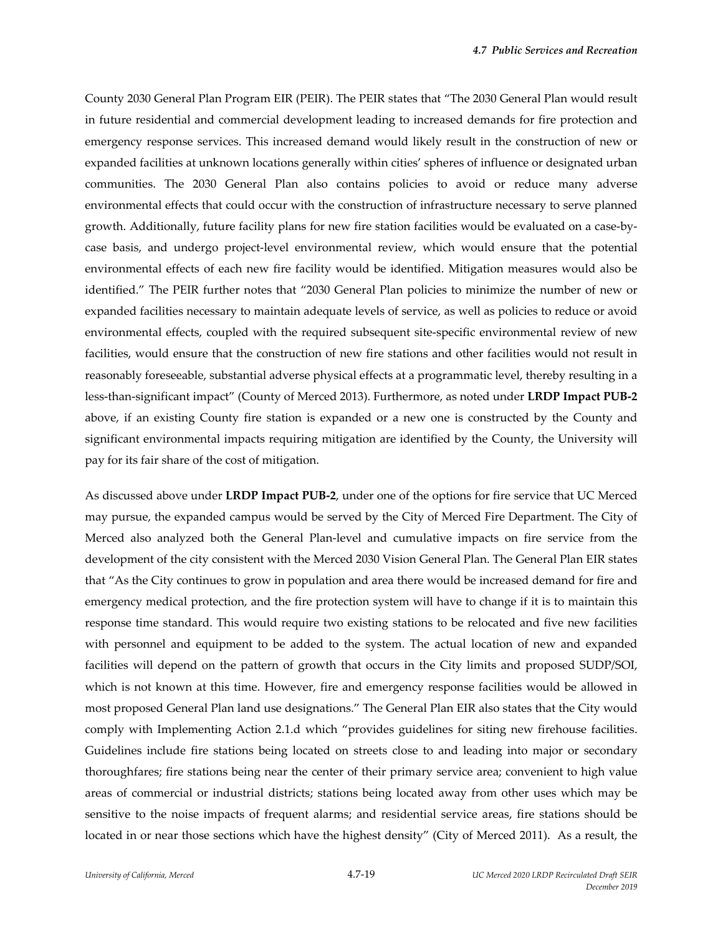County 2030 General Plan Program EIR (PEIR). The PEIR states that "The 2030 General Plan would result in future residential and commercial development leading to increased demands for fire protection and emergency response services. This increased demand would likely result in the construction of new or expanded facilities at unknown locations generally within cities' spheres of influence or designated urban communities. The 2030 General Plan also contains policies to avoid or reduce many adverse environmental effects that could occur with the construction of infrastructure necessary to serve planned growth. Additionally, future facility plans for new fire station facilities would be evaluated on a case-bycase basis, and undergo project‐level environmental review, which would ensure that the potential environmental effects of each new fire facility would be identified. Mitigation measures would also be identified." The PEIR further notes that "2030 General Plan policies to minimize the number of new or expanded facilities necessary to maintain adequate levels of service, as well as policies to reduce or avoid environmental effects, coupled with the required subsequent site-specific environmental review of new facilities, would ensure that the construction of new fire stations and other facilities would not result in reasonably foreseeable, substantial adverse physical effects at a programmatic level, thereby resulting in a less‐than‐significant impact" (County of Merced 2013). Furthermore, as noted under **LRDP Impact PUB‐2** above, if an existing County fire station is expanded or a new one is constructed by the County and significant environmental impacts requiring mitigation are identified by the County, the University will pay for its fair share of the cost of mitigation.

As discussed above under **LRDP Impact PUB‐2**, under one of the options for fire service that UC Merced may pursue, the expanded campus would be served by the City of Merced Fire Department. The City of Merced also analyzed both the General Plan-level and cumulative impacts on fire service from the development of the city consistent with the Merced 2030 Vision General Plan. The General Plan EIR states that "As the City continues to grow in population and area there would be increased demand for fire and emergency medical protection, and the fire protection system will have to change if it is to maintain this response time standard. This would require two existing stations to be relocated and five new facilities with personnel and equipment to be added to the system. The actual location of new and expanded facilities will depend on the pattern of growth that occurs in the City limits and proposed SUDP/SOI, which is not known at this time. However, fire and emergency response facilities would be allowed in most proposed General Plan land use designations." The General Plan EIR also states that the City would comply with Implementing Action 2.1.d which "provides guidelines for siting new firehouse facilities. Guidelines include fire stations being located on streets close to and leading into major or secondary thoroughfares; fire stations being near the center of their primary service area; convenient to high value areas of commercial or industrial districts; stations being located away from other uses which may be sensitive to the noise impacts of frequent alarms; and residential service areas, fire stations should be located in or near those sections which have the highest density" (City of Merced 2011). As a result, the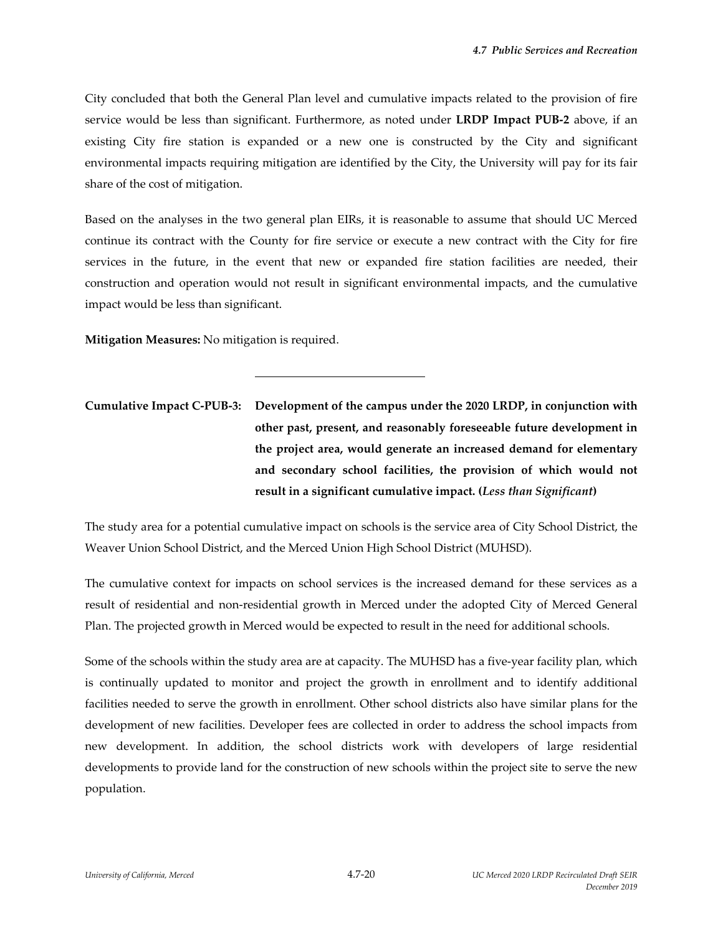City concluded that both the General Plan level and cumulative impacts related to the provision of fire service would be less than significant. Furthermore, as noted under **LRDP Impact PUB‐2** above, if an existing City fire station is expanded or a new one is constructed by the City and significant environmental impacts requiring mitigation are identified by the City, the University will pay for its fair share of the cost of mitigation.

Based on the analyses in the two general plan EIRs, it is reasonable to assume that should UC Merced continue its contract with the County for fire service or execute a new contract with the City for fire services in the future, in the event that new or expanded fire station facilities are needed, their construction and operation would not result in significant environmental impacts, and the cumulative impact would be less than significant.

**Mitigation Measures:** No mitigation is required.

l

**Cumulative Impact C‐PUB‐3: Development of the campus under the 2020 LRDP, in conjunction with other past, present, and reasonably foreseeable future development in the project area, would generate an increased demand for elementary and secondary school facilities, the provision of which would not result in a significant cumulative impact. (***Less than Significant***)**

The study area for a potential cumulative impact on schools is the service area of City School District, the Weaver Union School District, and the Merced Union High School District (MUHSD).

The cumulative context for impacts on school services is the increased demand for these services as a result of residential and non‐residential growth in Merced under the adopted City of Merced General Plan. The projected growth in Merced would be expected to result in the need for additional schools.

Some of the schools within the study area are at capacity. The MUHSD has a five-year facility plan, which is continually updated to monitor and project the growth in enrollment and to identify additional facilities needed to serve the growth in enrollment. Other school districts also have similar plans for the development of new facilities. Developer fees are collected in order to address the school impacts from new development. In addition, the school districts work with developers of large residential developments to provide land for the construction of new schools within the project site to serve the new population.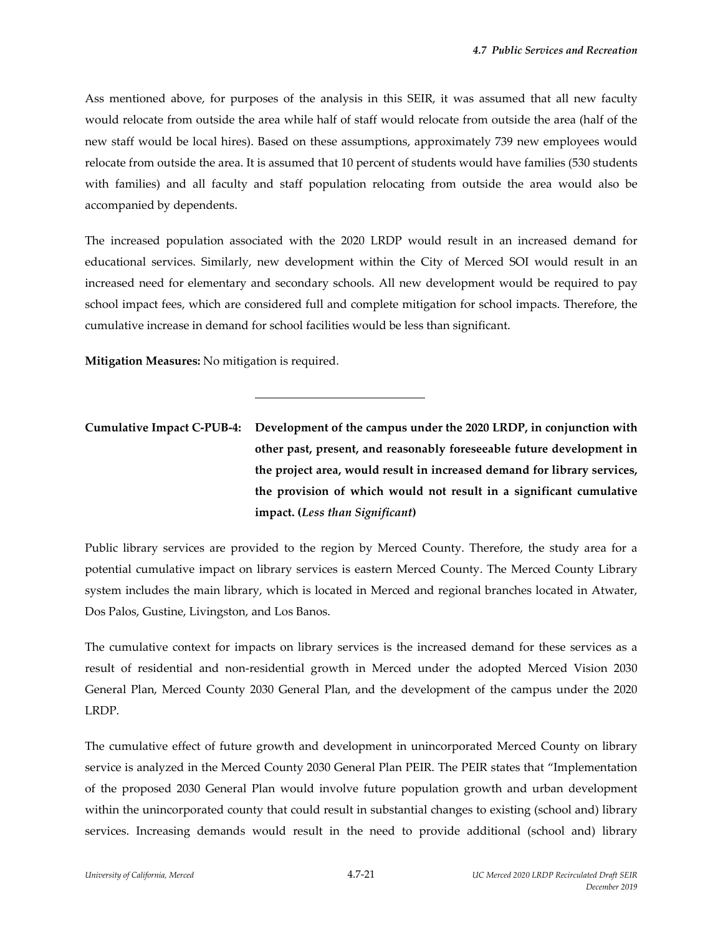Ass mentioned above, for purposes of the analysis in this SEIR, it was assumed that all new faculty would relocate from outside the area while half of staff would relocate from outside the area (half of the new staff would be local hires). Based on these assumptions, approximately 739 new employees would relocate from outside the area. It is assumed that 10 percent of students would have families (530 students with families) and all faculty and staff population relocating from outside the area would also be accompanied by dependents.

The increased population associated with the 2020 LRDP would result in an increased demand for educational services. Similarly, new development within the City of Merced SOI would result in an increased need for elementary and secondary schools. All new development would be required to pay school impact fees, which are considered full and complete mitigation for school impacts. Therefore, the cumulative increase in demand for school facilities would be less than significant.

**Mitigation Measures:** No mitigation is required.

l

**Cumulative Impact C‐PUB‐4: Development of the campus under the 2020 LRDP, in conjunction with other past, present, and reasonably foreseeable future development in the project area, would result in increased demand for library services, the provision of which would not result in a significant cumulative impact. (***Less than Significant***)**

Public library services are provided to the region by Merced County. Therefore, the study area for a potential cumulative impact on library services is eastern Merced County. The Merced County Library system includes the main library, which is located in Merced and regional branches located in Atwater, Dos Palos, Gustine, Livingston, and Los Banos.

The cumulative context for impacts on library services is the increased demand for these services as a result of residential and non-residential growth in Merced under the adopted Merced Vision 2030 General Plan, Merced County 2030 General Plan, and the development of the campus under the 2020 LRDP.

The cumulative effect of future growth and development in unincorporated Merced County on library service is analyzed in the Merced County 2030 General Plan PEIR. The PEIR states that "Implementation of the proposed 2030 General Plan would involve future population growth and urban development within the unincorporated county that could result in substantial changes to existing (school and) library services. Increasing demands would result in the need to provide additional (school and) library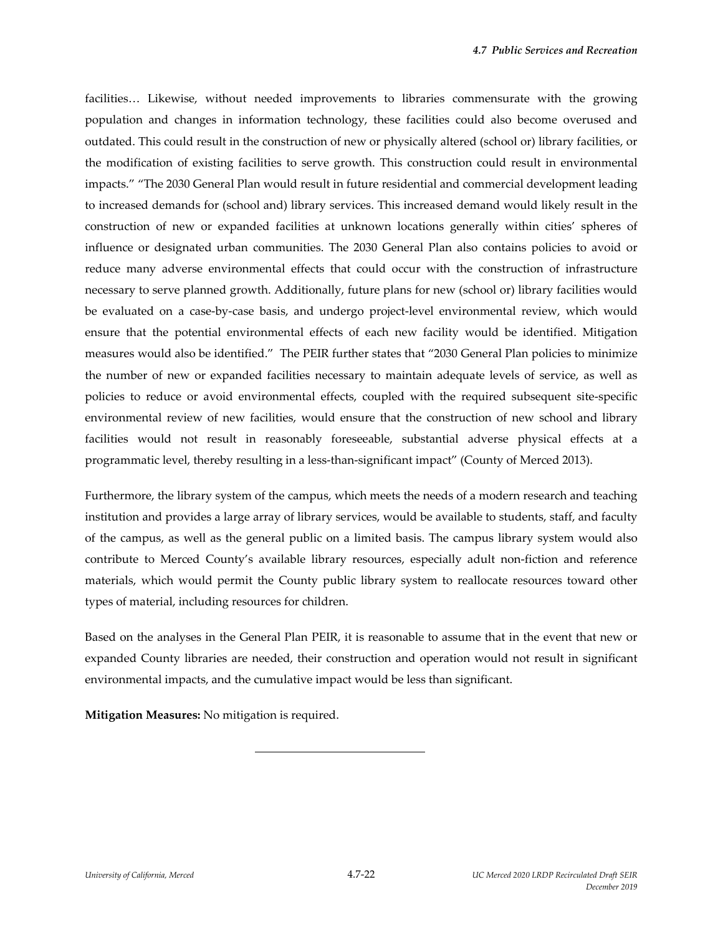facilities… Likewise, without needed improvements to libraries commensurate with the growing population and changes in information technology, these facilities could also become overused and outdated. This could result in the construction of new or physically altered (school or) library facilities, or the modification of existing facilities to serve growth. This construction could result in environmental impacts." "The 2030 General Plan would result in future residential and commercial development leading to increased demands for (school and) library services. This increased demand would likely result in the construction of new or expanded facilities at unknown locations generally within cities' spheres of influence or designated urban communities. The 2030 General Plan also contains policies to avoid or reduce many adverse environmental effects that could occur with the construction of infrastructure necessary to serve planned growth. Additionally, future plans for new (school or) library facilities would be evaluated on a case-by-case basis, and undergo project-level environmental review, which would ensure that the potential environmental effects of each new facility would be identified. Mitigation measures would also be identified." The PEIR further states that "2030 General Plan policies to minimize the number of new or expanded facilities necessary to maintain adequate levels of service, as well as policies to reduce or avoid environmental effects, coupled with the required subsequent site‐specific environmental review of new facilities, would ensure that the construction of new school and library facilities would not result in reasonably foreseeable, substantial adverse physical effects at a programmatic level, thereby resulting in a less‐than‐significant impact" (County of Merced 2013).

Furthermore, the library system of the campus, which meets the needs of a modern research and teaching institution and provides a large array of library services, would be available to students, staff, and faculty of the campus, as well as the general public on a limited basis. The campus library system would also contribute to Merced County's available library resources, especially adult non‐fiction and reference materials, which would permit the County public library system to reallocate resources toward other types of material, including resources for children.

Based on the analyses in the General Plan PEIR, it is reasonable to assume that in the event that new or expanded County libraries are needed, their construction and operation would not result in significant environmental impacts, and the cumulative impact would be less than significant.

**Mitigation Measures:** No mitigation is required.

l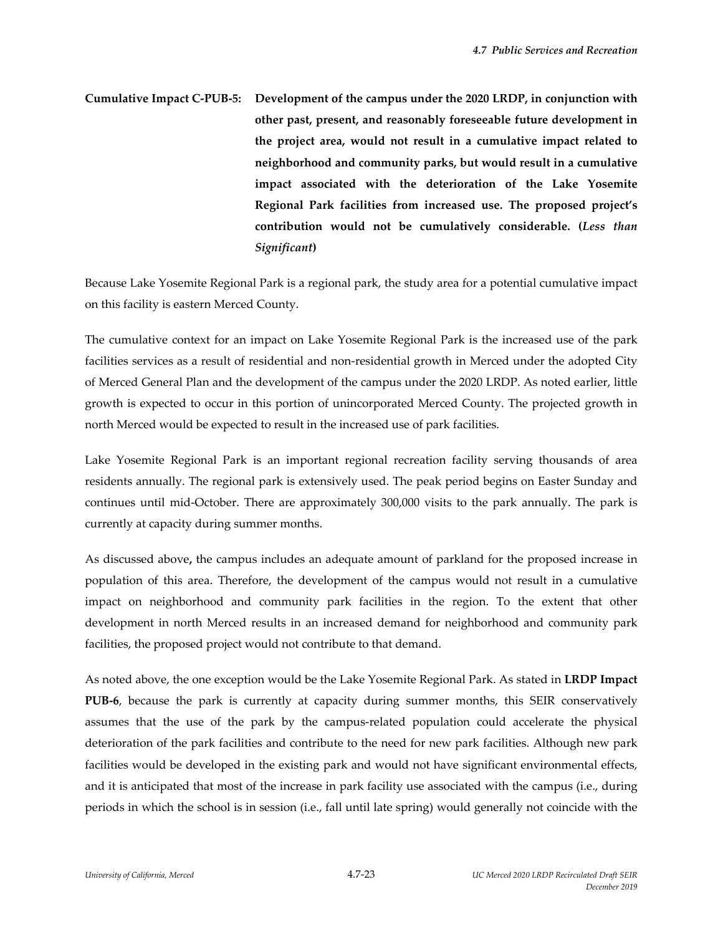**Cumulative Impact C‐PUB‐5: Development of the campus under the 2020 LRDP, in conjunction with other past, present, and reasonably foreseeable future development in the project area, would not result in a cumulative impact related to neighborhood and community parks, but would result in a cumulative impact associated with the deterioration of the Lake Yosemite Regional Park facilities from increased use. The proposed project's contribution would not be cumulatively considerable. (***Less than Significant***)**

Because Lake Yosemite Regional Park is a regional park, the study area for a potential cumulative impact on this facility is eastern Merced County.

The cumulative context for an impact on Lake Yosemite Regional Park is the increased use of the park facilities services as a result of residential and non-residential growth in Merced under the adopted City of Merced General Plan and the development of the campus under the 2020 LRDP. As noted earlier, little growth is expected to occur in this portion of unincorporated Merced County. The projected growth in north Merced would be expected to result in the increased use of park facilities.

Lake Yosemite Regional Park is an important regional recreation facility serving thousands of area residents annually. The regional park is extensively used. The peak period begins on Easter Sunday and continues until mid‐October. There are approximately 300,000 visits to the park annually. The park is currently at capacity during summer months.

As discussed above**,** the campus includes an adequate amount of parkland for the proposed increase in population of this area. Therefore, the development of the campus would not result in a cumulative impact on neighborhood and community park facilities in the region. To the extent that other development in north Merced results in an increased demand for neighborhood and community park facilities, the proposed project would not contribute to that demand.

As noted above, the one exception would be the Lake Yosemite Regional Park. As stated in **LRDP Impact PUB‐6**, because the park is currently at capacity during summer months, this SEIR conservatively assumes that the use of the park by the campus‐related population could accelerate the physical deterioration of the park facilities and contribute to the need for new park facilities. Although new park facilities would be developed in the existing park and would not have significant environmental effects, and it is anticipated that most of the increase in park facility use associated with the campus (i.e., during periods in which the school is in session (i.e., fall until late spring) would generally not coincide with the